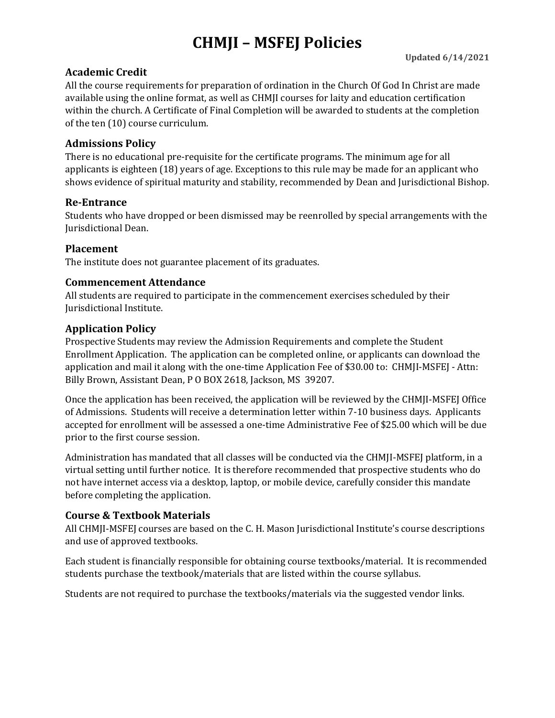# **CHMJI – MSFEJ Policies**

## **Academic Credit**

All the course requirements for preparation of ordination in the Church Of God In Christ are made available using the online format, as well as CHMJI courses for laity and education certification within the church. A Certificate of Final Completion will be awarded to students at the completion of the ten (10) course curriculum.

### **Admissions Policy**

There is no educational pre-requisite for the certificate programs. The minimum age for all applicants is eighteen (18) years of age. Exceptions to this rule may be made for an applicant who shows evidence of spiritual maturity and stability, recommended by Dean and Jurisdictional Bishop.

### **Re-Entrance**

Students who have dropped or been dismissed may be reenrolled by special arrangements with the Jurisdictional Dean.

### **Placement**

The institute does not guarantee placement of its graduates.

#### **Commencement Attendance**

All students are required to participate in the commencement exercises scheduled by their Jurisdictional Institute.

### **Application Policy**

Prospective Students may review the Admission Requirements and complete the Student Enrollment Application. The application can be completed online, or applicants can download the application and mail it along with the one-time Application Fee of \$30.00 to: CHMJI-MSFEJ - Attn: Billy Brown, Assistant Dean, P O BOX 2618, Jackson, MS 39207.

Once the application has been received, the application will be reviewed by the CHMJI-MSFEJ Office of Admissions. Students will receive a determination letter within 7-10 business days. Applicants accepted for enrollment will be assessed a one-time Administrative Fee of \$25.00 which will be due prior to the first course session.

Administration has mandated that all classes will be conducted via the CHMJI-MSFEJ platform, in a virtual setting until further notice. It is therefore recommended that prospective students who do not have internet access via a desktop, laptop, or mobile device, carefully consider this mandate before completing the application.

## **Course & Textbook Materials**

All CHMJI-MSFEJ courses are based on the C. H. Mason Jurisdictional Institute's course descriptions and use of approved textbooks.

Each student is financially responsible for obtaining course textbooks/material. It is recommended students purchase the textbook/materials that are listed within the course syllabus.

Students are not required to purchase the textbooks/materials via the suggested vendor links.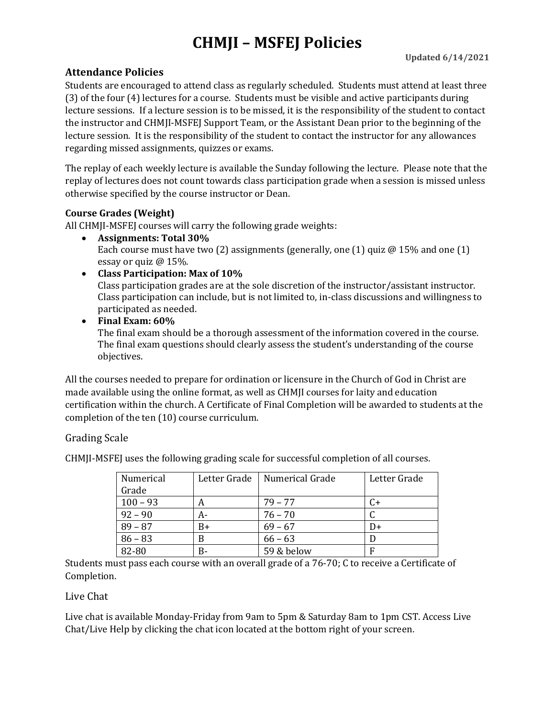# **CHMJI – MSFEJ Policies**

## **Attendance Policies**

Students are encouraged to attend class as regularly scheduled. Students must attend at least three (3) of the four (4) lectures for a course. Students must be visible and active participants during lecture sessions. If a lecture session is to be missed, it is the responsibility of the student to contact the instructor and CHMJI-MSFEJ Support Team, or the Assistant Dean prior to the beginning of the lecture session. It is the responsibility of the student to contact the instructor for any allowances regarding missed assignments, quizzes or exams.

The replay of each weekly lecture is available the Sunday following the lecture. Please note that the replay of lectures does not count towards class participation grade when a session is missed unless otherwise specified by the course instructor or Dean.

### **Course Grades (Weight)**

All CHMJI-MSFEJ courses will carry the following grade weights:

- **Assignments: Total 30%** Each course must have two (2) assignments (generally, one (1) quiz  $\omega$  15% and one (1) essay or quiz @ 15%.
- **Class Participation: Max of 10%**

Class participation grades are at the sole discretion of the instructor/assistant instructor. Class participation can include, but is not limited to, in-class discussions and willingness to participated as needed.

• **Final Exam: 60%**

The final exam should be a thorough assessment of the information covered in the course. The final exam questions should clearly assess the student's understanding of the course objectives.

All the courses needed to prepare for ordination or licensure in the Church of God in Christ are made available using the online format, as well as CHMJI courses for laity and education certification within the church. A Certificate of Final Completion will be awarded to students at the completion of the ten (10) course curriculum.

## Grading Scale

CHMJI-MSFEJ uses the following grading scale for successful completion of all courses.

| Numerical  | Letter Grade | Numerical Grade | Letter Grade |
|------------|--------------|-----------------|--------------|
| Grade      |              |                 |              |
| $100 - 93$ | А            | $79 - 77$       | C+           |
| $92 - 90$  | А-           | $76 - 70$       |              |
| $89 - 87$  | B+           | $69 - 67$       | D+           |
| $86 - 83$  |              | $66 - 63$       |              |
| 82-80      | B-           | 59 & below      | F            |

Students must pass each course with an overall grade of a 76-70; C to receive a Certificate of Completion.

#### Live Chat

Live chat is available Monday-Friday from 9am to 5pm & Saturday 8am to 1pm CST. Access Live Chat/Live Help by clicking the chat icon located at the bottom right of your screen.